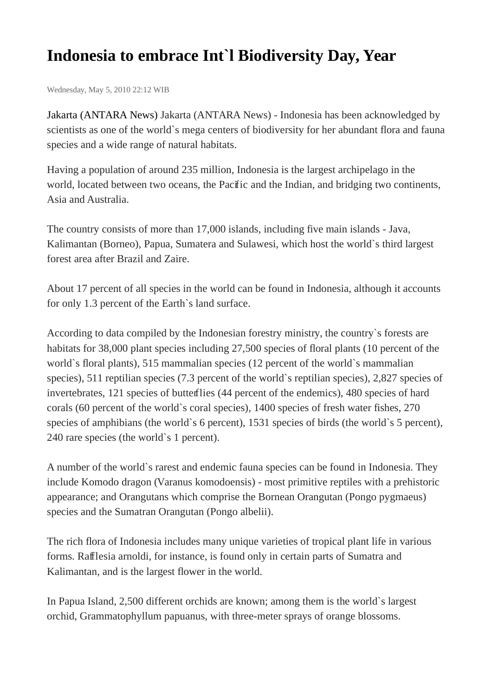## **Indonesia to embrace Int`l Biodiversity Day, Year**

Wednesday, May 5, 2010 22:12 WIB

Jakarta (ANTARA News) Jakarta (ANTARA News) - Indonesia has been acknowledged by scientists as one of the world's mega centers of biodiversity for her abundant flora and fauna species and a wide range of natural habitats.

Having a population of around 235 million, Indonesia is the largest archipelago in the world, located between two oceans, the Pacific and the Indian, and bridging two continents, Asia and Australia.

The country consists of more than 17,000 islands, including five main islands - Java, Kalimantan (Borneo), Papua, Sumatera and Sulawesi, which host the world`s third largest forest area after Brazil and Zaire.

About 17 percent of all species in the world can be found in Indonesia, although it accounts for only 1.3 percent of the Earth`s land surface.

According to data compiled by the Indonesian forestry ministry, the country`s forests are habitats for 38,000 plant species including 27,500 species of floral plants (10 percent of the world`s floral plants), 515 mammalian species (12 percent of the world`s mammalian species), 511 reptilian species (7.3 percent of the world`s reptilian species), 2,827 species of invertebrates, 121 species of butterflies (44 percent of the endemics), 480 species of hard corals (60 percent of the world`s coral species), 1400 species of fresh water fishes, 270 species of amphibians (the world`s 6 percent), 1531 species of birds (the world`s 5 percent), 240 rare species (the world`s 1 percent).

A number of the world`s rarest and endemic fauna species can be found in Indonesia. They include Komodo dragon (Varanus komodoensis) - most primitive reptiles with a prehistoric appearance; and Orangutans which comprise the Bornean Orangutan (Pongo pygmaeus) species and the Sumatran Orangutan (Pongo albelii).

The rich flora of Indonesia includes many unique varieties of tropical plant life in various forms. Rafflesia arnoldi, for instance, is found only in certain parts of Sumatra and Kalimantan, and is the largest flower in the world.

In Papua Island, 2,500 different orchids are known; among them is the world`s largest orchid, Grammatophyllum papuanus, with three-meter sprays of orange blossoms.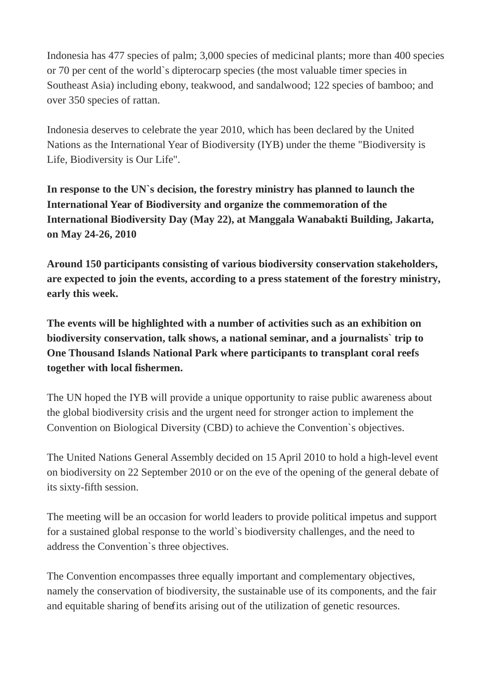Indonesia has 477 species of palm; 3,000 species of medicinal plants; more than 400 species or 70 per cent of the world`s dipterocarp species (the most valuable timer species in Southeast Asia) including ebony, teakwood, and sandalwood; 122 species of bamboo; and over 350 species of rattan.

Indonesia deserves to celebrate the year 2010, which has been declared by the United Nations as the International Year of Biodiversity (IYB) under the theme "Biodiversity is Life, Biodiversity is Our Life".

**In response to the UN`s decision, the forestry ministry has planned to launch the International Year of Biodiversity and organize the commemoration of the International Biodiversity Day (May 22), at Manggala Wanabakti Building, Jakarta, on May 24-26, 2010**

**Around 150 participants consisting of various biodiversity conservation stakeholders, are expected to join the events, according to a press statement of the forestry ministry, early this week.**

**The events will be highlighted with a number of activities such as an exhibition on biodiversity conservation, talk shows, a national seminar, and a journalists` trip to One Thousand Islands National Park where participants to transplant coral reefs together with local fishermen.**

The UN hoped the IYB will provide a unique opportunity to raise public awareness about the global biodiversity crisis and the urgent need for stronger action to implement the Convention on Biological Diversity (CBD) to achieve the Convention`s objectives.

The United Nations General Assembly decided on 15 April 2010 to hold a high-level event on biodiversity on 22 September 2010 or on the eve of the opening of the general debate of its sixty-fifth session.

The meeting will be an occasion for world leaders to provide political impetus and support for a sustained global response to the world`s biodiversity challenges, and the need to address the Convention`s three objectives.

The Convention encompasses three equally important and complementary objectives, namely the conservation of biodiversity, the sustainable use of its components, and the fair and equitable sharing of benefits arising out of the utilization of genetic resources.